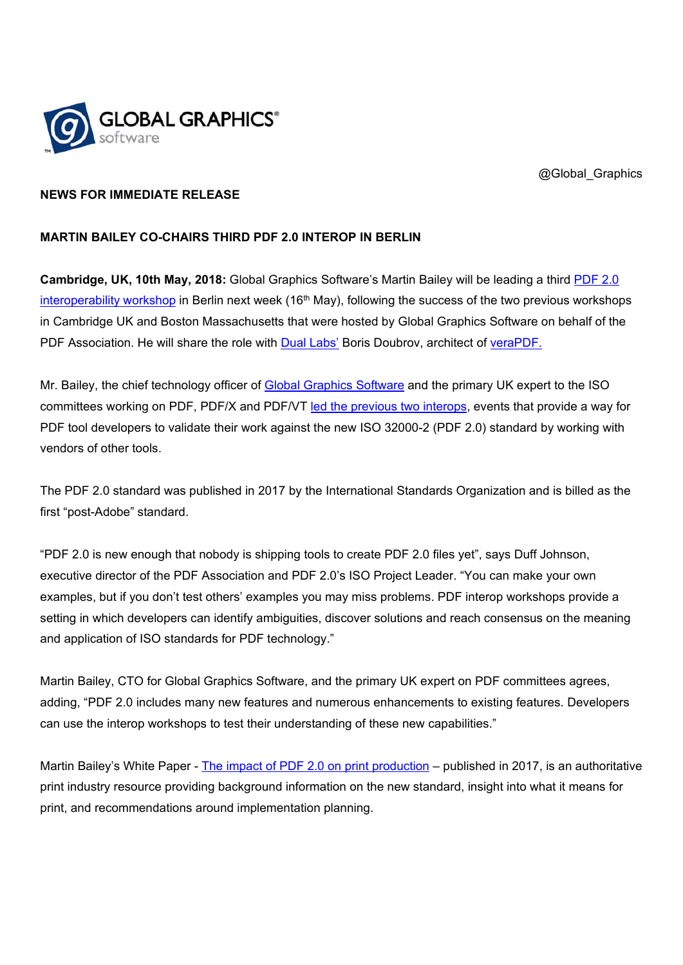

@Global Graphics

## **NEWS FOR IMMEDIATE RELEASE**

## **MARTIN BAILEY CO-CHAIRS THIRD PDF 2.0 INTEROP IN BERLIN**

**Cambridge, UK, 10th May, 2018:** Global Graphics Software's Martin Bailey will be leading a third PDF 2.0 interoperability workshop in Berlin next week (16<sup>th</sup> May), following the success of the two previous workshops in Cambridge UK and Boston Massachusetts that were hosted by Global Graphics Software on behalf of the PDF Association. He will share the role with Dual Labs' Boris Doubrov, architect of veraPDF.

Mr. Bailey, the chief technology officer of Global Graphics Software and the primary UK expert to the ISO committees working on PDF, PDF/X and PDF/VT led the previous two interops, events that provide a way for PDF tool developers to validate their work against the new ISO 32000-2 (PDF 2.0) standard by working with vendors of other tools.

The PDF 2.0 standard was published in 2017 by the International Standards Organization and is billed as the first "post-Adobe" standard.

"PDF 2.0 is new enough that nobody is shipping tools to create PDF 2.0 files yet", says Duff Johnson, executive director of the PDF Association and PDF 2.0's ISO Project Leader. "You can make your own examples, but if you don't test others' examples you may miss problems. PDF interop workshops provide a setting in which developers can identify ambiguities, discover solutions and reach consensus on the meaning and application of ISO standards for PDF technology."

Martin Bailey, CTO for Global Graphics Software, and the primary UK expert on PDF committees agrees, adding, "PDF 2.0 includes many new features and numerous enhancements to existing features. Developers can use the interop workshops to test their understanding of these new capabilities."

Martin Bailey's White Paper - The impact of PDF 2.0 on print production – published in 2017, is an authoritative print industry resource providing background information on the new standard, insight into what it means for print, and recommendations around implementation planning.